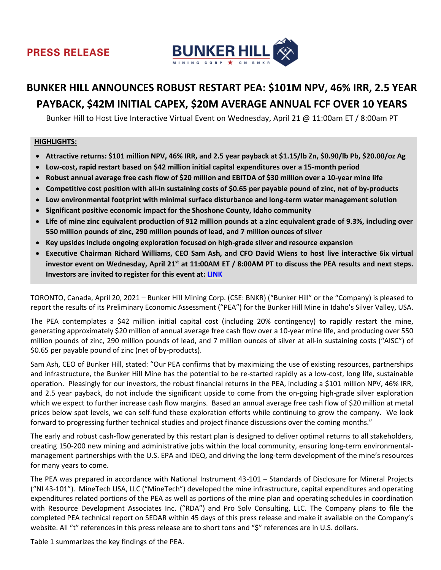# **PRESS RELEASE**



# **BUNKER HILL ANNOUNCES ROBUST RESTART PEA: \$101M NPV, 46% IRR, 2.5 YEAR PAYBACK, \$42M INITIAL CAPEX, \$20M AVERAGE ANNUAL FCF OVER 10 YEARS**

Bunker Hill to Host Live Interactive Virtual Event on Wednesday, April 21 @ 11:00am ET / 8:00am PT

#### **HIGHLIGHTS:**

- **Attractive returns: \$101 million NPV, 46% IRR, and 2.5 year payback at \$1.15/lb Zn, \$0.90/lb Pb, \$20.00/oz Ag**
- **Low-cost, rapid restart based on \$42 million initial capital expenditures over a 15-month period**
- **Robust annual average free cash flow of \$20 million and EBITDA of \$30 million over a 10-year mine life**
- **Competitive cost position with all-in sustaining costs of \$0.65 per payable pound of zinc, net of by-products**
- **Low environmental footprint with minimal surface disturbance and long-term water management solution**
- **Significant positive economic impact for the Shoshone County, Idaho community**
- **Life of mine zinc equivalent production of 912 million pounds at a zinc equivalent grade of 9.3%, including over 550 million pounds of zinc, 290 million pounds of lead, and 7 million ounces of silver**
- **Key upsides include ongoing exploration focused on high-grade silver and resource expansion**
- **Executive Chairman Richard Williams, CEO Sam Ash, and CFO David Wiens to host live interactive 6ix virtual investor event on Wednesday, April 21st at 11:00AM ET / 8:00AM PT to discuss the PEA results and next steps. Investors are invited to register for this event at: [LINK](https://my.6ix.com/Heq9Km3U)**

TORONTO, Canada, April 20, 2021 – Bunker Hill Mining Corp. (CSE: BNKR) ("Bunker Hill" or the "Company) is pleased to report the results of its Preliminary Economic Assessment ("PEA") for the Bunker Hill Mine in Idaho's Silver Valley, USA.

The PEA contemplates a \$42 million initial capital cost (including 20% contingency) to rapidly restart the mine, generating approximately \$20 million of annual average free cash flow over a 10-year mine life, and producing over 550 million pounds of zinc, 290 million pounds of lead, and 7 million ounces of silver at all-in sustaining costs ("AISC") of \$0.65 per payable pound of zinc (net of by-products).

Sam Ash, CEO of Bunker Hill, stated: "Our PEA confirms that by maximizing the use of existing resources, partnerships and infrastructure, the Bunker Hill Mine has the potential to be re-started rapidly as a low-cost, long life, sustainable operation. Pleasingly for our investors, the robust financial returns in the PEA, including a \$101 million NPV, 46% IRR, and 2.5 year payback, do not include the significant upside to come from the on-going high-grade silver exploration which we expect to further increase cash flow margins. Based an annual average free cash flow of \$20 million at metal prices below spot levels, we can self-fund these exploration efforts while continuing to grow the company. We look forward to progressing further technical studies and project finance discussions over the coming months."

The early and robust cash-flow generated by this restart plan is designed to deliver optimal returns to all stakeholders, creating 150-200 new mining and administrative jobs within the local community, ensuring long-term environmentalmanagement partnerships with the U.S. EPA and IDEQ, and driving the long-term development of the mine's resources for many years to come.

The PEA was prepared in accordance with National Instrument 43-101 – Standards of Disclosure for Mineral Projects ("NI 43-101"). MineTech USA, LLC ("MineTech") developed the mine infrastructure, capital expenditures and operating expenditures related portions of the PEA as well as portions of the mine plan and operating schedules in coordination with Resource Development Associates Inc. ("RDA") and Pro Solv Consulting, LLC. The Company plans to file the completed PEA technical report on SEDAR within 45 days of this press release and make it available on the Company's website. All "t" references in this press release are to short tons and "\$" references are in U.S. dollars.

Table 1 summarizes the key findings of the PEA.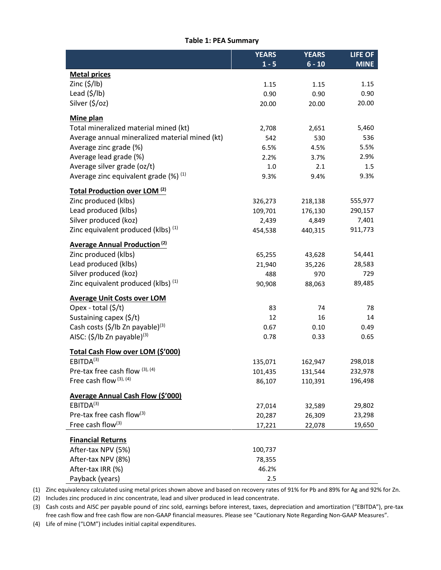#### **Table 1: PEA Summary**

|                                                            | <b>YEARS</b> | <b>YEARS</b> | LIFE OF     |
|------------------------------------------------------------|--------------|--------------|-------------|
|                                                            | $1 - 5$      | $6 - 10$     | <b>MINE</b> |
| <b>Metal prices</b>                                        |              |              |             |
| Zinc $(\frac{5}{lb})$                                      | 1.15         | 1.15         | 1.15        |
| Lead $(\frac{2}{3}$ /lb)                                   | 0.90         | 0.90         | 0.90        |
| Silver (\$/oz)                                             | 20.00        | 20.00        | 20.00       |
| Mine plan                                                  |              |              |             |
| Total mineralized material mined (kt)                      | 2,708        | 2,651        | 5,460       |
| Average annual mineralized material mined (kt)             | 542          | 530          | 536         |
| Average zinc grade (%)                                     | 6.5%         | 4.5%         | 5.5%        |
| Average lead grade (%)                                     | 2.2%         | 3.7%         | 2.9%        |
| Average silver grade (oz/t)                                | 1.0          | 2.1          | 1.5         |
| Average zinc equivalent grade $(\%)$ <sup>(1)</sup>        | 9.3%         | 9.4%         | 9.3%        |
|                                                            |              |              |             |
| Total Production over LOM <sup>(2)</sup>                   |              |              |             |
| Zinc produced (klbs)                                       | 326,273      | 218,138      | 555,977     |
| Lead produced (klbs)                                       | 109,701      | 176,130      | 290,157     |
| Silver produced (koz)                                      | 2,439        | 4,849        | 7,401       |
| Zinc equivalent produced (klbs) (1)                        | 454,538      | 440,315      | 911,773     |
| Average Annual Production <sup>(2)</sup>                   |              |              |             |
| Zinc produced (klbs)                                       | 65,255       | 43,628       | 54,441      |
| Lead produced (klbs)                                       | 21,940       | 35,226       | 28,583      |
| Silver produced (koz)                                      | 488          | 970          | 729         |
| Zinc equivalent produced (klbs) (1)                        | 90,908       | 88,063       | 89,485      |
| <b>Average Unit Costs over LOM</b>                         |              |              |             |
| Opex - total $(\frac{5}{t})$                               | 83           | 74           | 78          |
| Sustaining capex (\$/t)                                    | 12           | 16           | 14          |
| Cash costs (\$/lb Zn payable) <sup>(3)</sup>               | 0.67         | 0.10         | 0.49        |
| AISC: $(\frac{5}{16}$ Zn payable) <sup>(3)</sup>           | 0.78         | 0.33         | 0.65        |
|                                                            |              |              |             |
| Total Cash Flow over LOM (\$'000)<br>EBITDA <sup>(3)</sup> |              |              |             |
|                                                            | 135,071      | 162,947      | 298,018     |
| Pre-tax free cash flow (3), (4)<br>Free cash flow (3), (4) | 101,435      | 131,544      | 232,978     |
|                                                            | 86,107       | 110,391      | 196,498     |
| <b>Average Annual Cash Flow (\$'000)</b>                   |              |              |             |
| EBITDA <sup>(3)</sup>                                      | 27,014       | 32,589       | 29,802      |
| Pre-tax free cash flow <sup>(3)</sup>                      | 20,287       | 26,309       | 23,298      |
| Free cash flow <sup>(3)</sup>                              | 17,221       | 22,078       | 19,650      |
| <b>Financial Returns</b>                                   |              |              |             |
| After-tax NPV (5%)                                         | 100,737      |              |             |
| After-tax NPV (8%)                                         | 78,355       |              |             |
| After-tax IRR (%)                                          | 46.2%        |              |             |
| Payback (years)                                            | 2.5          |              |             |

(1) Zinc equivalency calculated using metal prices shown above and based on recovery rates of 91% for Pb and 89% for Ag and 92% for Zn.

(2) Includes zinc produced in zinc concentrate, lead and silver produced in lead concentrate.

(3) Cash costs and AISC per payable pound of zinc sold, earnings before interest, taxes, depreciation and amortization ("EBITDA"), pre-tax free cash flow and free cash flow are non-GAAP financial measures. Please see "Cautionary Note Regarding Non-GAAP Measures".

(4) Life of mine ("LOM") includes initial capital expenditures.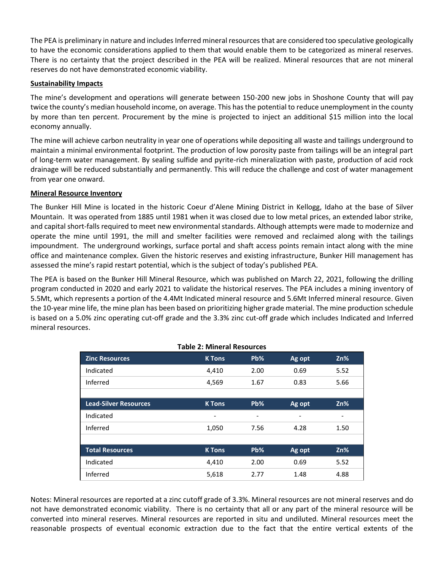The PEA is preliminary in nature and includes Inferred mineral resources that are considered too speculative geologically to have the economic considerations applied to them that would enable them to be categorized as mineral reserves. There is no certainty that the project described in the PEA will be realized. Mineral resources that are not mineral reserves do not have demonstrated economic viability.

# **Sustainability Impacts**

The mine's development and operations will generate between 150-200 new jobs in Shoshone County that will pay twice the county's median household income, on average. This has the potential to reduce unemployment in the county by more than ten percent. Procurement by the mine is projected to inject an additional \$15 million into the local economy annually.

The mine will achieve carbon neutrality in year one of operations while depositing all waste and tailings underground to maintain a minimal environmental footprint. The production of low porosity paste from tailings will be an integral part of long-term water management. By sealing sulfide and pyrite-rich mineralization with paste, production of acid rock drainage will be reduced substantially and permanently. This will reduce the challenge and cost of water management from year one onward.

# **Mineral Resource Inventory**

The Bunker Hill Mine is located in the historic Coeur d'Alene Mining District in Kellogg, Idaho at the base of Silver Mountain. It was operated from 1885 until 1981 when it was closed due to low metal prices, an extended labor strike, and capital short-falls required to meet new environmental standards. Although attempts were made to modernize and operate the mine until 1991, the mill and smelter facilities were removed and reclaimed along with the tailings impoundment. The underground workings, surface portal and shaft access points remain intact along with the mine office and maintenance complex. Given the historic reserves and existing infrastructure, Bunker Hill management has assessed the mine's rapid restart potential, which is the subject of today's published PEA.

The PEA is based on the Bunker Hill Mineral Resource, which was published on March 22, 2021, following the drilling program conducted in 2020 and early 2021 to validate the historical reserves. The PEA includes a mining inventory of 5.5Mt, which represents a portion of the 4.4Mt Indicated mineral resource and 5.6Mt Inferred mineral resource. Given the 10-year mine life, the mine plan has been based on prioritizing higher grade material. The mine production schedule is based on a 5.0% zinc operating cut-off grade and the 3.3% zinc cut-off grade which includes Indicated and Inferred mineral resources.

|                              |                          | Pb%  |        | Zn%  |
|------------------------------|--------------------------|------|--------|------|
| <b>Zinc Resources</b>        | <b>K</b> Tons            |      | Ag opt |      |
| Indicated                    | 4,410                    | 2.00 | 0.69   | 5.52 |
| Inferred                     | 4,569                    | 1.67 | 0.83   | 5.66 |
|                              |                          |      |        |      |
| <b>Lead-Silver Resources</b> | <b>K</b> Tons            | Pb%  | Ag opt | Zn%  |
| Indicated                    | $\overline{\phantom{0}}$ | -    | ٠      |      |
| Inferred                     | 1,050                    | 7.56 | 4.28   | 1.50 |
|                              |                          |      |        |      |
| <b>Total Resources</b>       | <b>K</b> Tons            | Pb%  | Ag opt | Zn%  |
| Indicated                    | 4,410                    | 2.00 | 0.69   | 5.52 |
| Inferred                     | 5,618                    | 2.77 | 1.48   | 4.88 |

Notes: Mineral resources are reported at a zinc cutoff grade of 3.3%. Mineral resources are not mineral reserves and do not have demonstrated economic viability. There is no certainty that all or any part of the mineral resource will be converted into mineral reserves. Mineral resources are reported in situ and undiluted. Mineral resources meet the reasonable prospects of eventual economic extraction due to the fact that the entire vertical extents of the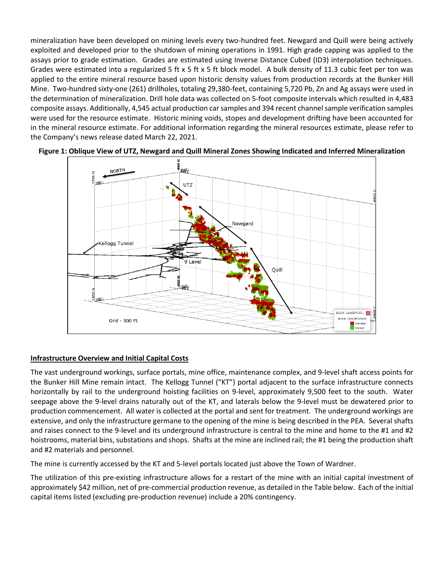mineralization have been developed on mining levels every two-hundred feet. Newgard and Quill were being actively exploited and developed prior to the shutdown of mining operations in 1991. High grade capping was applied to the assays prior to grade estimation. Grades are estimated using Inverse Distance Cubed (ID3) interpolation techniques. Grades were estimated into a regularized 5 ft x 5 ft x 5 ft block model. A bulk density of 11.3 cubic feet per ton was applied to the entire mineral resource based upon historic density values from production records at the Bunker Hill Mine. Two-hundred sixty-one (261) drillholes, totaling 29,380-feet, containing 5,720 Pb, Zn and Ag assays were used in the determination of mineralization. Drill hole data was collected on 5-foot composite intervals which resulted in 4,483 composite assays. Additionally, 4,545 actual production car samples and 394 recent channel sample verification samples were used for the resource estimate. Historic mining voids, stopes and development drifting have been accounted for in the mineral resource estimate. For additional information regarding the mineral resources estimate, please refer to the Company's news release dated March 22, 2021.





# **Infrastructure Overview and Initial Capital Costs**

The vast underground workings, surface portals, mine office, maintenance complex, and 9-level shaft access points for the Bunker Hill Mine remain intact. The Kellogg Tunnel ("KT") portal adjacent to the surface infrastructure connects horizontally by rail to the underground hoisting facilities on 9-level, approximately 9,500 feet to the south. Water seepage above the 9-level drains naturally out of the KT, and laterals below the 9-level must be dewatered prior to production commencement. All water is collected at the portal and sent for treatment. The underground workings are extensive, and only the infrastructure germane to the opening of the mine is being described in the PEA. Several shafts and raises connect to the 9-level and its underground infrastructure is central to the mine and home to the #1 and #2 hoistrooms, material bins, substations and shops. Shafts at the mine are inclined rail; the #1 being the production shaft and #2 materials and personnel.

The mine is currently accessed by the KT and 5-level portals located just above the Town of Wardner.

The utilization of this pre-existing infrastructure allows for a restart of the mine with an initial capital investment of approximately \$42 million, net of pre-commercial production revenue, as detailed in the Table below. Each of the initial capital items listed (excluding pre-production revenue) include a 20% contingency.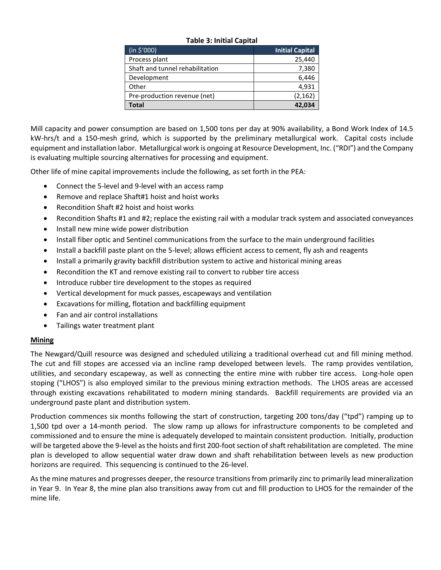| Table J. Illitial Capital       |                        |  |  |  |  |  |  |  |  |  |  |
|---------------------------------|------------------------|--|--|--|--|--|--|--|--|--|--|
| (in \$7000)                     | <b>Initial Capital</b> |  |  |  |  |  |  |  |  |  |  |
| Process plant                   | 25,440                 |  |  |  |  |  |  |  |  |  |  |
| Shaft and tunnel rehabilitation | 7,380                  |  |  |  |  |  |  |  |  |  |  |
| Development                     | 6,446                  |  |  |  |  |  |  |  |  |  |  |
| Other                           | 4,931                  |  |  |  |  |  |  |  |  |  |  |
| Pre-production revenue (net)    | (2, 162)               |  |  |  |  |  |  |  |  |  |  |
| Total                           | 42,034                 |  |  |  |  |  |  |  |  |  |  |

#### **Table 3: Initial Capital**

Mill capacity and power consumption are based on 1,500 tons per day at 90% availability, a Bond Work Index of 14.5 kW-hrs/t and a 150-mesh grind, which is supported by the preliminary metallurgical work. Capital costs include equipment and installation labor. Metallurgical work is ongoing at Resource Development, Inc. ("RDI") and the Company is evaluating multiple sourcing alternatives for processing and equipment.

Other life of mine capital improvements include the following, as set forth in the PEA:

- Connect the 5-level and 9-level with an access ramp
- Remove and replace Shaft#1 hoist and hoist works
- Recondition Shaft #2 hoist and hoist works
- Recondition Shafts #1 and #2; replace the existing rail with a modular track system and associated conveyances
- Install new mine wide power distribution
- Install fiber optic and Sentinel communications from the surface to the main underground facilities
- Install a backfill paste plant on the 5-level; allows efficient access to cement, fly ash and reagents
- Install a primarily gravity backfill distribution system to active and historical mining areas
- Recondition the KT and remove existing rail to convert to rubber tire access
- Introduce rubber tire development to the stopes as required
- Vertical development for muck passes, escapeways and ventilation
- Excavations for milling, flotation and backfilling equipment
- Fan and air control installations
- Tailings water treatment plant

# **Mining**

The Newgard/Quill resource was designed and scheduled utilizing a traditional overhead cut and fill mining method. The cut and fill stopes are accessed via an incline ramp developed between levels. The ramp provides ventilation, utilities, and secondary escapeway, as well as connecting the entire mine with rubber tire access. Long-hole open stoping ("LHOS") is also employed similar to the previous mining extraction methods. The LHOS areas are accessed through existing excavations rehabilitated to modern mining standards. Backfill requirements are provided via an underground paste plant and distribution system.

Production commences six months following the start of construction, targeting 200 tons/day ("tpd") ramping up to 1,500 tpd over a 14-month period. The slow ramp up allows for infrastructure components to be completed and commissioned and to ensure the mine is adequately developed to maintain consistent production. Initially, production will be targeted above the 9-level as the hoists and first 200-foot section of shaft rehabilitation are completed. The mine plan is developed to allow sequential water draw down and shaft rehabilitation between levels as new production horizons are required. This sequencing is continued to the 26-level.

As the mine matures and progresses deeper, the resource transitions from primarily zinc to primarily lead mineralization in Year 9. In Year 8, the mine plan also transitions away from cut and fill production to LHOS for the remainder of the mine life.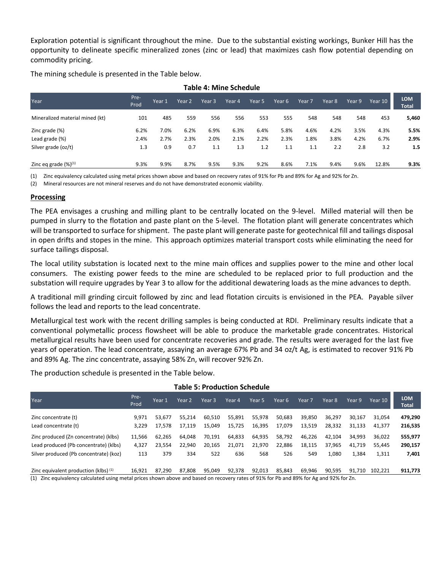Exploration potential is significant throughout the mine. Due to the substantial existing workings, Bunker Hill has the opportunity to delineate specific mineralized zones (zinc or lead) that maximizes cash flow potential depending on commodity pricing.

The mining schedule is presented in the Table below.

| <b>Table 4: Mine Schedule</b>   |              |        |                   |        |        |        |        |        |        |        |         |                            |
|---------------------------------|--------------|--------|-------------------|--------|--------|--------|--------|--------|--------|--------|---------|----------------------------|
| Year                            | Pre-<br>Prod | Year 1 | Year <sub>2</sub> | Year 3 | Year 4 | Year 5 | Year 6 | Year 7 | Year 8 | Year 9 | Year 10 | <b>LOM</b><br><b>Total</b> |
| Mineralized material mined (kt) | 101          | 485    | 559               | 556    | 556    | 553    | 555    | 548    | 548    | 548    | 453     | 5,460                      |
| Zinc grade (%)                  | 6.2%         | 7.0%   | 6.2%              | 6.9%   | 6.3%   | 6.4%   | 5.8%   | 4.6%   | 4.2%   | 3.5%   | 4.3%    | 5.5%                       |
| Lead grade (%)                  | 2.4%         | 2.7%   | 2.3%              | 2.0%   | 2.1%   | 2.2%   | 2.3%   | 1.8%   | 3.8%   | 4.2%   | 6.7%    | 2.9%                       |
| Silver grade (oz/t)             | 1.3          | 0.9    | 0.7               | 1.1    | 1.3    | 1.2    | 1.1    | 1.1    | 2.2    | 2.8    | 3.2     | 1.5                        |
| Zinc eq grade $(\%)^{(1)}$      | 9.3%         | 9.9%   | 8.7%              | 9.5%   | 9.3%   | 9.2%   | 8.6%   | 7.1%   | 9.4%   | 9.6%   | 12.8%   | 9.3%                       |

(1) Zinc equivalency calculated using metal prices shown above and based on recovery rates of 91% for Pb and 89% for Ag and 92% for Zn.

(2) Mineral resources are not mineral reserves and do not have demonstrated economic viability.

#### **Processing**

The PEA envisages a crushing and milling plant to be centrally located on the 9-level. Milled material will then be pumped in slurry to the flotation and paste plant on the 5-level. The flotation plant will generate concentrates which will be transported to surface for shipment. The paste plant will generate paste for geotechnical fill and tailings disposal in open drifts and stopes in the mine. This approach optimizes material transport costs while eliminating the need for surface tailings disposal.

The local utility substation is located next to the mine main offices and supplies power to the mine and other local consumers. The existing power feeds to the mine are scheduled to be replaced prior to full production and the substation will require upgrades by Year 3 to allow for the additional dewatering loads as the mine advances to depth.

A traditional mill grinding circuit followed by zinc and lead flotation circuits is envisioned in the PEA. Payable silver follows the lead and reports to the lead concentrate.

Metallurgical test work with the recent drilling samples is being conducted at RDI. Preliminary results indicate that a conventional polymetallic process flowsheet will be able to produce the marketable grade concentrates. Historical metallurgical results have been used for concentrate recoveries and grade. The results were averaged for the last five years of operation. The lead concentrate, assaying an average 67% Pb and 34 oz/t Ag, is estimated to recover 91% Pb and 89% Ag. The zinc concentrate, assaying 58% Zn, will recover 92% Zn.

The production schedule is presented in the Table below.

| Year.                                                                          | Pre-<br>Prod    | Year 1           | Year 2           | Year 3           | Year 4           | Year 5           | Year 6           | Year 7           | Year 8           | Year 9           | Year 10          | <b>LOM</b><br><b>Total</b> |
|--------------------------------------------------------------------------------|-----------------|------------------|------------------|------------------|------------------|------------------|------------------|------------------|------------------|------------------|------------------|----------------------------|
| Zinc concentrate (t)<br>Lead concentrate (t)                                   | 9.971<br>3.229  | 53.677<br>17,578 | 55.214<br>17.119 | 60,510<br>15,049 | 55,891<br>15,725 | 55,978<br>16,395 | 50,683<br>17,079 | 39,850<br>13,519 | 36.297<br>28,332 | 30.167<br>31,133 | 31.054<br>41.377 | 479,290<br>216,535         |
| Zinc produced (Zn concentrate) (klbs)<br>Lead produced (Pb concentrate) (klbs) | 11,566<br>4.327 | 62.265<br>23.554 | 64.048<br>22.940 | 70,191<br>20,165 | 64,833<br>21,071 | 64,935<br>21,970 | 58,792<br>22,886 | 46,226<br>18,115 | 42.104<br>37,965 | 34,993<br>41.719 | 36.022<br>55.445 | 555,977<br>290,157         |
| Silver produced (Pb concentrate) (koz)                                         | 113             | 379              | 334              | 522              | 636              | 568              | 526              | 549              | 1,080            | 1,384            | 1,311            | 7,401                      |
| Zinc equivalent production (klbs) (1)<br>$\cdots$                              | 16.921          | 87.290           | 87.808           | 95.049           | 92,378           | 92.013<br>.      | 85.843           | 69.946           | 90.595<br>.      | 91.710           | 102.221          | 911,773                    |

#### **Table 5: Production Schedule**

(1) Zinc equivalency calculated using metal prices shown above and based on recovery rates of 91% for Pb and 89% for Ag and 92% for Zn.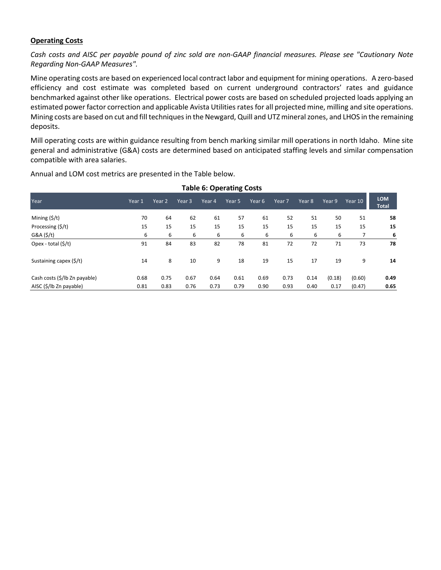# **Operating Costs**

*Cash costs and AISC per payable pound of zinc sold are non-GAAP financial measures. Please see "Cautionary Note Regarding Non-GAAP Measures".*

Mine operating costs are based on experienced local contract labor and equipment for mining operations. A zero-based efficiency and cost estimate was completed based on current underground contractors' rates and guidance benchmarked against other like operations. Electrical power costs are based on scheduled projected loads applying an estimated power factor correction and applicable Avista Utilities rates for all projected mine, milling and site operations. Mining costs are based on cut and fill techniques in the Newgard, Quill and UTZ mineralzones, and LHOS in the remaining deposits.

Mill operating costs are within guidance resulting from bench marking similar mill operations in north Idaho. Mine site general and administrative (G&A) costs are determined based on anticipated staffing levels and similar compensation compatible with area salaries.

**Table 6: Operating Costs**

|                               |        |        |        | Table 6: Operating Costs |        |        |        |        |        |         |                            |
|-------------------------------|--------|--------|--------|--------------------------|--------|--------|--------|--------|--------|---------|----------------------------|
| Year                          | Year 1 | Year 2 | Year 3 | Year 4                   | Year 5 | Year 6 | Year 7 | Year 8 | Year 9 | Year 10 | <b>LOM</b><br><b>Total</b> |
| Mining $(\frac{5}{t})$        | 70     | 64     | 62     | 61                       | 57     | 61     | 52     | 51     | 50     | 51      | 58                         |
| Processing (\$/t)             | 15     | 15     | 15     | 15                       | 15     | 15     | 15     | 15     | 15     | 15      | 15                         |
| G&A(5/t)                      | 6      | 6      | 6      | 6                        | 6      | 6      | 6      | 6      | 6      |         | 6                          |
| Opex - total (\$/t)           | 91     | 84     | 83     | 82                       | 78     | 81     | 72     | 72     | 71     | 73      | 78                         |
| Sustaining capex (\$/t)       | 14     | 8      | 10     | 9                        | 18     | 19     | 15     | 17     | 19     | 9       | 14                         |
| Cash costs (\$/lb Zn payable) | 0.68   | 0.75   | 0.67   | 0.64                     | 0.61   | 0.69   | 0.73   | 0.14   | (0.18) | (0.60)  | 0.49                       |
| AISC (\$/lb Zn payable)       | 0.81   | 0.83   | 0.76   | 0.73                     | 0.79   | 0.90   | 0.93   | 0.40   | 0.17   | (0.47)  | 0.65                       |

Annual and LOM cost metrics are presented in the Table below.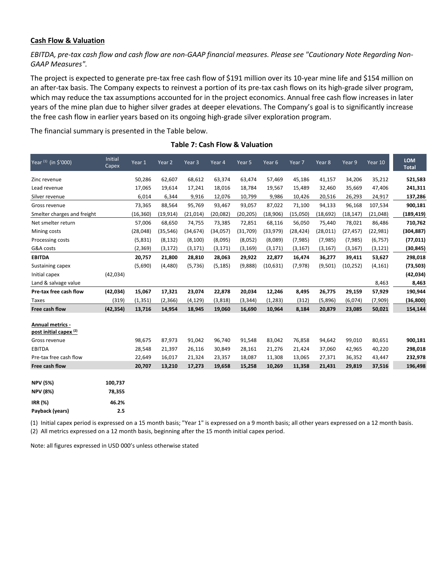#### **Cash Flow & Valuation**

*EBITDA, pre-tax cash flow and cash flow are non-GAAP financial measures. Please see "Cautionary Note Regarding Non-GAAP Measures".*

The project is expected to generate pre-tax free cash flow of \$191 million over its 10-year mine life and \$154 million on an after-tax basis. The Company expects to reinvest a portion of its pre-tax cash flows on its high-grade silver program, which may reduce the tax assumptions accounted for in the project economics. Annual free cash flow increases in later years of the mine plan due to higher silver grades at deeper elevations. The Company's goal is to significantly increase the free cash flow in earlier years based on its ongoing high-grade silver exploration program.

The financial summary is presented in the Table below.

| Year <sup>(1)</sup> (in \$'000)                              | Initial<br>Capex  | Year 1    | Year 2    | Year 3    | Year 4    | Year 5    | Year 6    | Year 7    | Year 8    | Year 9    | Year 10   | <b>LOM</b><br><b>Total</b> |
|--------------------------------------------------------------|-------------------|-----------|-----------|-----------|-----------|-----------|-----------|-----------|-----------|-----------|-----------|----------------------------|
| Zinc revenue                                                 |                   | 50,286    | 62,607    | 68,612    | 63,374    | 63,474    | 57,469    | 45,186    | 41,157    | 34,206    | 35,212    | 521,583                    |
| Lead revenue                                                 |                   | 17,065    | 19,614    | 17,241    | 18,016    | 18,784    | 19,567    | 15,489    | 32,460    | 35,669    | 47,406    | 241,311                    |
| Silver revenue                                               |                   | 6,014     | 6,344     | 9,916     | 12,076    | 10,799    | 9,986     | 10,426    | 20,516    | 26,293    | 24,917    | 137,286                    |
| Gross revenue                                                |                   | 73,365    | 88,564    | 95,769    | 93,467    | 93,057    | 87,022    | 71,100    | 94,133    | 96,168    | 107,534   | 900,181                    |
| Smelter charges and freight                                  |                   | (16, 360) | (19, 914) | (21, 014) | (20, 082) | (20, 205) | (18,906)  | (15,050)  | (18, 692) | (18, 147) | (21, 048) | (189, 419)                 |
| Net smelter return                                           |                   | 57,006    | 68,650    | 74,755    | 73,385    | 72,851    | 68,116    | 56,050    | 75,440    | 78,021    | 86,486    | 710,762                    |
| Mining costs                                                 |                   | (28,048)  | (35, 546) | (34, 674) | (34,057)  | (31,709)  | (33,979)  | (28, 424) | (28, 011) | (27, 457) | (22, 981) | (304, 887)                 |
| Processing costs                                             |                   | (5,831)   | (8, 132)  | (8, 100)  | (8,095)   | (8,052)   | (8,089)   | (7, 985)  | (7,985)   | (7,985)   | (6, 757)  | (77, 011)                  |
| G&A costs                                                    |                   | (2,369)   | (3, 172)  | (3, 171)  | (3, 171)  | (3, 169)  | (3, 171)  | (3, 167)  | (3, 167)  | (3, 167)  | (3, 121)  | (30, 845)                  |
| <b>EBITDA</b>                                                |                   | 20,757    | 21,800    | 28,810    | 28,063    | 29,922    | 22,877    | 16,474    | 36,277    | 39,411    | 53,627    | 298,018                    |
| Sustaining capex                                             |                   | (5,690)   | (4,480)   | (5,736)   | (5, 185)  | (9,888)   | (10, 631) | (7, 978)  | (9,501)   | (10, 252) | (4, 161)  | (73, 503)                  |
| Initial capex                                                | (42, 034)         |           |           |           |           |           |           |           |           |           |           | (42, 034)                  |
| Land & salvage value                                         |                   |           |           |           |           |           |           |           |           |           | 8,463     | 8,463                      |
| Pre-tax free cash flow                                       | (42, 034)         | 15,067    | 17,321    | 23,074    | 22,878    | 20,034    | 12,246    | 8,495     | 26,775    | 29,159    | 57,929    | 190,944                    |
| <b>Taxes</b>                                                 | (319)             | (1, 351)  | (2, 366)  | (4, 129)  | (3,818)   | (3, 344)  | (1, 283)  | (312)     | (5,896)   | (6,074)   | (7,909)   | (36, 800)                  |
| Free cash flow                                               | (42, 354)         | 13,716    | 14,954    | 18,945    | 19,060    | 16,690    | 10,964    | 8,184     | 20,879    | 23,085    | 50,021    | 154,144                    |
| <b>Annual metrics -</b><br>post initial capex <sup>(2)</sup> |                   |           |           |           |           |           |           |           |           |           |           |                            |
| Gross revenue                                                |                   | 98,675    | 87,973    | 91,042    | 96,740    | 91,548    | 83,042    | 76,858    | 94,642    | 99,010    | 80,651    | 900,181                    |
| <b>EBITDA</b>                                                |                   | 28,548    | 21,397    | 26,116    | 30,849    | 28,161    | 21,276    | 21,424    | 37,060    | 42,965    | 40,220    | 298,018                    |
| Pre-tax free cash flow                                       |                   | 22,649    | 16,017    | 21,324    | 23,357    | 18,087    | 11,308    | 13,065    | 27,371    | 36,352    | 43,447    | 232,978                    |
| Free cash flow                                               |                   | 20,707    | 13,210    | 17,273    | 19,658    | 15,258    | 10,269    | 11,358    | 21,431    | 29,819    | 37,516    | 196,498                    |
| <b>NPV (5%)</b><br><b>NPV (8%)</b>                           | 100,737<br>78,355 |           |           |           |           |           |           |           |           |           |           |                            |
| <b>IRR (%)</b>                                               | 46.2%             |           |           |           |           |           |           |           |           |           |           |                            |
| Payback (years)                                              | 2.5               |           |           |           |           |           |           |           |           |           |           |                            |

**Table 7: Cash Flow & Valuation**

(1) Initial capex period is expressed on a 15 month basis; "Year 1" is expressed on a 9 month basis; all other years expressed on a 12 month basis. (2) All metrics expressed on a 12 month basis, beginning after the 15 month initial capex period.

Note: all figures expressed in USD 000's unless otherwise stated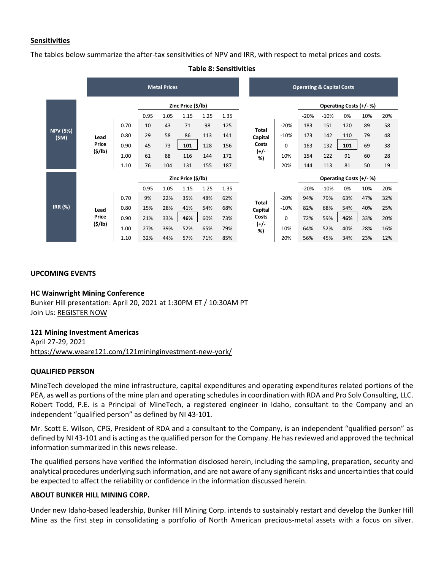# **Sensitivities**

The tables below summarize the after-tax sensitivities of NPV and IRR, with respect to metal prices and costs.

|                         |                                                | <b>Metal Prices</b> |                                                        |      |                    |        |      |                           |                  |        | <b>Operating &amp; Capital Costs</b> |        |                        |     |     |  |  |  |
|-------------------------|------------------------------------------------|---------------------|--------------------------------------------------------|------|--------------------|--------|------|---------------------------|------------------|--------|--------------------------------------|--------|------------------------|-----|-----|--|--|--|
|                         | Zinc Price (\$/lb)                             |                     |                                                        |      |                    |        |      |                           |                  |        |                                      |        | Operating Costs (+/-%) |     |     |  |  |  |
|                         | 0.95<br>1.05<br>1.15<br>43<br>0.70<br>10<br>71 |                     |                                                        |      |                    | 1.25   | 1.35 |                           |                  |        | $-20%$                               | $-10%$ | 0%                     | 10% | 20% |  |  |  |
|                         |                                                | 98                  | 125                                                    |      |                    | $-20%$ | 183  | 151                       | 120              | 89     | 58                                   |        |                        |     |     |  |  |  |
| <b>NPV (5%)</b><br>(SM) | Lead                                           | 0.80                | 29                                                     | 58   | 86                 | 113    | 141  |                           | Total<br>Capital | $-10%$ | 173                                  | 142    | 110                    | 79  | 48  |  |  |  |
|                         | Price                                          | 0.90                | 45                                                     | 73   | 101                | 128    | 156  | Costs                     | $\mathbf 0$      | 163    | 132                                  | 101    | 69                     | 38  |     |  |  |  |
|                         | (5/lb)                                         | 1.00                | 61                                                     | 88   | 116                | 144    | 172  |                           | (+/-<br>%)       | 10%    | 154                                  | 122    | 91                     | 60  | 28  |  |  |  |
|                         |                                                | 1.10                | 76                                                     | 104  | 131                | 155    | 187  |                           | 20%              | 144    | 113                                  | 81     | 50                     | 19  |     |  |  |  |
|                         |                                                |                     |                                                        |      | Zinc Price (\$/lb) |        |      |                           |                  |        |                                      |        | Operating Costs (+/-%) |     |     |  |  |  |
|                         |                                                |                     | 0.95                                                   | 1.05 | 1.15               | 1.25   | 1.35 |                           |                  |        | $-20%$                               | $-10%$ | 0%                     | 10% | 20% |  |  |  |
|                         |                                                | 0.70                | 9%                                                     | 22%  | 35%                | 48%    | 62%  |                           |                  | $-20%$ | 94%                                  | 79%    | 63%                    | 47% | 32% |  |  |  |
| <b>IRR (%)</b>          | Lead                                           | 0.80                | 15%                                                    | 28%  | 41%                | 54%    | 68%  | Total<br>Capital<br>Costs | $-10%$           | 82%    | 68%                                  | 54%    | 40%                    | 25% |     |  |  |  |
|                         | Price                                          | 0.90                | 21%                                                    | 33%  | 46%                | 60%    | 73%  |                           | 0                | 72%    | 59%                                  | 46%    | 33%                    | 20% |     |  |  |  |
|                         | (5/lb)                                         | 1.00                | $(+/-$<br>52%<br>10%<br>27%<br>39%<br>65%<br>79%<br>%) |      | 64%                | 52%    | 40%  | 28%                       | 16%              |        |                                      |        |                        |     |     |  |  |  |
|                         |                                                | 1.10                | 32%                                                    | 44%  | 57%                | 71%    | 85%  |                           |                  | 20%    | 56%                                  | 45%    | 34%                    | 23% | 12% |  |  |  |

# **Table 8: Sensitivities**

#### **UPCOMING EVENTS**

# **HC Wainwright Mining Conference**

Bunker Hill presentation: April 20, 2021 at 1:30PM ET / 10:30AM PT Join Us: [REGISTER NOW](https://hcwevents.com/mining/)

#### **121 Mining Investment Americas**

April 27-29, 2021 <https://www.weare121.com/121mininginvestment-new-york/>

# **QUALIFIED PERSON**

MineTech developed the mine infrastructure, capital expenditures and operating expenditures related portions of the PEA, as well as portions of the mine plan and operating schedules in coordination with RDA and Pro Solv Consulting, LLC. Robert Todd, P.E. is a Principal of MineTech, a registered engineer in Idaho, consultant to the Company and an independent "qualified person" as defined by NI 43-101.

Mr. Scott E. Wilson, CPG, President of RDA and a consultant to the Company, is an independent "qualified person" as defined by NI 43-101 and is acting as the qualified person for the Company. He has reviewed and approved the technical information summarized in this news release.

The qualified persons have verified the information disclosed herein, including the sampling, preparation, security and analytical procedures underlying such information, and are not aware of any significant risks and uncertainties that could be expected to affect the reliability or confidence in the information discussed herein.

# **ABOUT BUNKER HILL MINING CORP.**

Under new Idaho-based leadership, Bunker Hill Mining Corp. intends to sustainably restart and develop the Bunker Hill Mine as the first step in consolidating a portfolio of North American precious-metal assets with a focus on silver.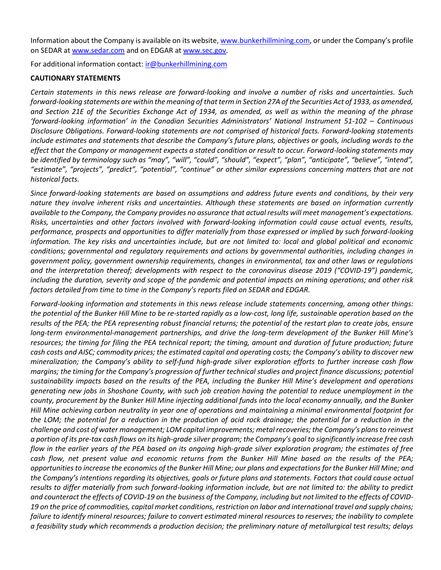Information about the Company is available on its website, [www.bunkerhillmining.com,](http://www.bunkerhillmining.com/) or under the Company's profile on SEDAR at [www.sedar.com](http://www.sedar.com/) and on EDGAR at [www.sec.gov.](http://www.sec.gov/)

For additional information contact: ir@bunkerhillmining.com

# **CAUTIONARY STATEMENTS**

*Certain statements in this news release are forward-looking and involve a number of risks and uncertainties. Such forward-looking statements are within the meaning of that term in Section 27A of the Securities Act of 1933, as amended, and Section 21E of the Securities Exchange Act of 1934, as amended, as well as within the meaning of the phrase 'forward-looking information' in the Canadian Securities Administrators' National Instrument 51-102 – Continuous Disclosure Obligations. Forward-looking statements are not comprised of historical facts. Forward-looking statements include estimates and statements that describe the Company's future plans, objectives or goals, including words to the effect that the Company or management expects a stated condition or result to occur. Forward-looking statements may be identified by terminology such as "may", "will", "could", "should", "expect", "plan", "anticipate", "believe", "intend", "estimate", "projects", "predict", "potential", "continue" or other similar expressions concerning matters that are not historical facts.*

*Since forward-looking statements are based on assumptions and address future events and conditions, by their very nature they involve inherent risks and uncertainties. Although these statements are based on information currently available to the Company, the Company provides no assurance that actual results will meet management's expectations. Risks, uncertainties and other factors involved with forward-looking information could cause actual events, results, performance, prospects and opportunities to differ materially from those expressed or implied by such forward-looking information. The key risks and uncertainties include, but are not limited to: local and global political and economic conditions; governmental and regulatory requirements and actions by governmental authorities, including changes in government policy, government ownership requirements, changes in environmental, tax and other laws or regulations and the interpretation thereof; developments with respect to the coronavirus disease 2019 ("COVID-19") pandemic, including the duration, severity and scope of the pandemic and potential impacts on mining operations; and other risk factors detailed from time to time in the Company's reports filed on SEDAR and EDGAR.* 

*Forward-looking information and statements in this news release include statements concerning, among other things: the potential of the Bunker Hill Mine to be re-started rapidly as a low-cost, long life, sustainable operation based on the results of the PEA; the PEA representing robust financial returns; the potential of the restart plan to create jobs, ensure long-term environmental-management partnerships, and drive the long-term development of the Bunker Hill Mine's resources; the timing for filing the PEA technical report; the timing, amount and duration of future production; future cash costs and AISC; commodity prices; the estimated capital and operating costs; the Company's ability to discover new mineralization; the Company's ability to self-fund high-grade silver exploration efforts to further increase cash flow margins; the timing for the Company's progression of further technical studies and project finance discussions; potential sustainability impacts based on the results of the PEA, including the Bunker Hill Mine's development and operations generating new jobs in Shoshone County, with such job creation having the potential to reduce unemployment in the county, procurement by the Bunker Hill Mine injecting additional funds into the local economy annually, and the Bunker Hill Mine achieving carbon neutrality in year one of operations and maintaining a minimal environmental footprint for the LOM; the potential for a reduction in the production of acid rock drainage; the potential for a reduction in the challenge and cost of water management; LOM capital improvements; metal recoveries; the Company's plans to reinvest a portion of its pre-tax cash flows on its high-grade silver program; the Company's goal to significantly increase free cash flow in the earlier years of the PEA based on its ongoing high-grade silver exploration program; the estimates of free cash flow, net present value and economic returns from the Bunker Hill Mine based on the results of the PEA; opportunities to increase the economics of the Bunker Hill Mine; our plans and expectations for the Bunker Hill Mine; and the Company's intentions regarding its objectives, goals or future plans and statements. Factors that could cause actual results to differ materially from such forward-looking information include, but are not limited to: the ability to predict and counteract the effects of COVID-19 on the business of the Company, including but not limited to the effects of COVID-19 on the price of commodities, capital market conditions, restriction on labor and international travel and supply chains; failure to identify mineral resources; failure to convert estimated mineral resources to reserves; the inability to complete a feasibility study which recommends a production decision; the preliminary nature of metallurgical test results; delays*